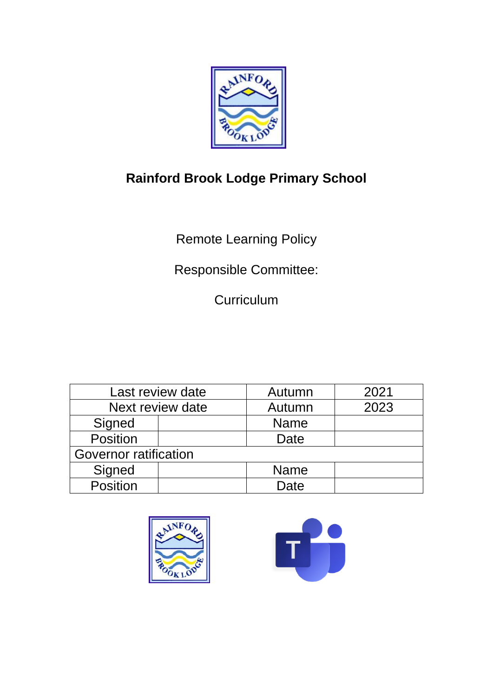

# **Rainford Brook Lodge Primary School**

Remote Learning Policy

Responsible Committee:

**Curriculum** 

| Last review date             |  | Autumn      | 2021 |
|------------------------------|--|-------------|------|
| Next review date             |  | Autumn      | 2023 |
| Signed                       |  | <b>Name</b> |      |
| Position                     |  | Date        |      |
| <b>Governor ratification</b> |  |             |      |
| Signed                       |  | <b>Name</b> |      |
| Position                     |  | Date        |      |



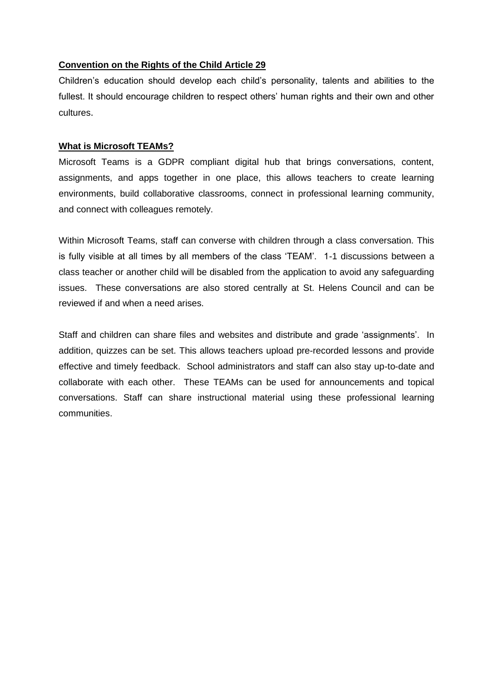#### **Convention on the Rights of the Child Article 29**

Children's education should develop each child's personality, talents and abilities to the fullest. It should encourage children to respect others' human rights and their own and other cultures.

#### **What is Microsoft TEAMs?**

Microsoft Teams is a GDPR compliant digital hub that brings conversations, content, assignments, and apps together in one place, this allows teachers to create learning environments, build collaborative classrooms, connect in professional learning community, and connect with colleagues remotely.

Within Microsoft Teams, staff can converse with children through a class conversation. This is fully visible at all times by all members of the class 'TEAM'. 1-1 discussions between a class teacher or another child will be disabled from the application to avoid any safeguarding issues. These conversations are also stored centrally at St. Helens Council and can be reviewed if and when a need arises.

Staff and children can share files and websites and distribute and grade 'assignments'. In addition, quizzes can be set. This allows teachers upload pre-recorded lessons and provide effective and timely feedback. School administrators and staff can also stay up-to-date and collaborate with each other. These TEAMs can be used for announcements and topical conversations. Staff can share instructional material using these professional learning communities.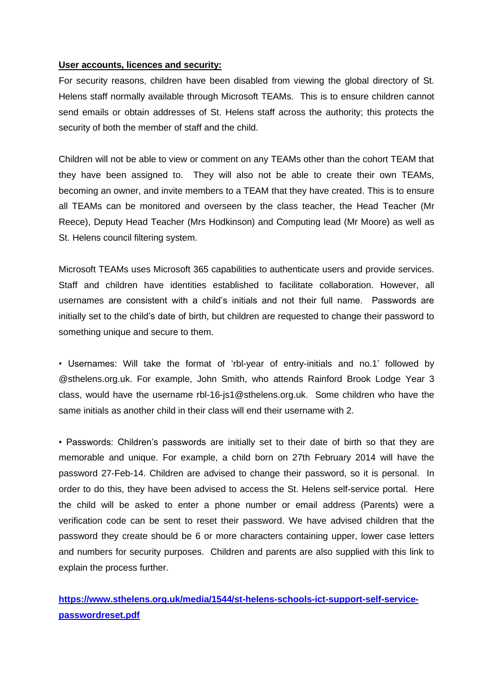#### **User accounts, licences and security:**

For security reasons, children have been disabled from viewing the global directory of St. Helens staff normally available through Microsoft TEAMs. This is to ensure children cannot send emails or obtain addresses of St. Helens staff across the authority; this protects the security of both the member of staff and the child.

Children will not be able to view or comment on any TEAMs other than the cohort TEAM that they have been assigned to. They will also not be able to create their own TEAMs, becoming an owner, and invite members to a TEAM that they have created. This is to ensure all TEAMs can be monitored and overseen by the class teacher, the Head Teacher (Mr Reece), Deputy Head Teacher (Mrs Hodkinson) and Computing lead (Mr Moore) as well as St. Helens council filtering system.

Microsoft TEAMs uses Microsoft 365 capabilities to authenticate users and provide services. Staff and children have identities established to facilitate collaboration. However, all usernames are consistent with a child's initials and not their full name. Passwords are initially set to the child's date of birth, but children are requested to change their password to something unique and secure to them.

• Usernames: Will take the format of 'rbl-year of entry-initials and no.1' followed by @sthelens.org.uk. For example, John Smith, who attends Rainford Brook Lodge Year 3 class, would have the username rbl-16-js1@sthelens.org.uk. Some children who have the same initials as another child in their class will end their username with 2.

• Passwords: Children's passwords are initially set to their date of birth so that they are memorable and unique. For example, a child born on 27th February 2014 will have the password 27-Feb-14. Children are advised to change their password, so it is personal. In order to do this, they have been advised to access the St. Helens self-service portal. Here the child will be asked to enter a phone number or email address (Parents) were a verification code can be sent to reset their password. We have advised children that the password they create should be 6 or more characters containing upper, lower case letters and numbers for security purposes. Children and parents are also supplied with this link to explain the process further.

**[https://www.sthelens.org.uk/media/1544/st-helens-schools-ict-support-self-service](https://www.sthelens.org.uk/media/1544/st-helens-schools-ict-support-self-service-passwordreset.pdf)[passwordreset.pdf](https://www.sthelens.org.uk/media/1544/st-helens-schools-ict-support-self-service-passwordreset.pdf)**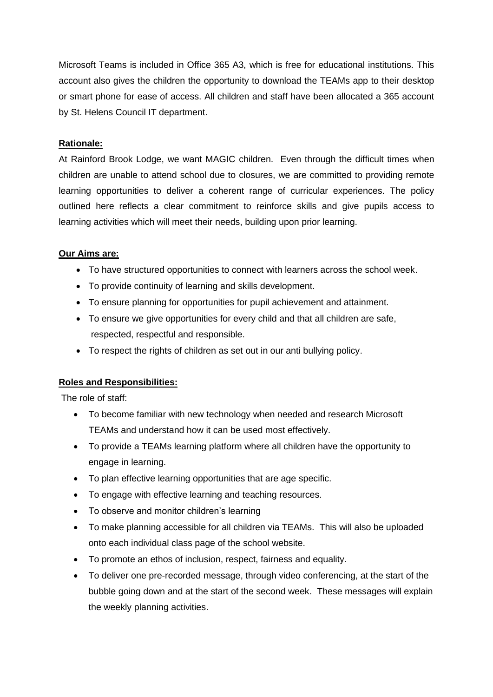Microsoft Teams is included in Office 365 A3, which is free for educational institutions. This account also gives the children the opportunity to download the TEAMs app to their desktop or smart phone for ease of access. All children and staff have been allocated a 365 account by St. Helens Council IT department.

#### **Rationale:**

At Rainford Brook Lodge, we want MAGIC children. Even through the difficult times when children are unable to attend school due to closures, we are committed to providing remote learning opportunities to deliver a coherent range of curricular experiences. The policy outlined here reflects a clear commitment to reinforce skills and give pupils access to learning activities which will meet their needs, building upon prior learning.

#### **Our Aims are:**

- To have structured opportunities to connect with learners across the school week.
- To provide continuity of learning and skills development.
- To ensure planning for opportunities for pupil achievement and attainment.
- To ensure we give opportunities for every child and that all children are safe, respected, respectful and responsible.
- To respect the rights of children as set out in our anti bullying policy.

### **Roles and Responsibilities:**

The role of staff:

- To become familiar with new technology when needed and research Microsoft TEAMs and understand how it can be used most effectively.
- To provide a TEAMs learning platform where all children have the opportunity to engage in learning.
- To plan effective learning opportunities that are age specific.
- To engage with effective learning and teaching resources.
- To observe and monitor children's learning
- To make planning accessible for all children via TEAMs. This will also be uploaded onto each individual class page of the school website.
- To promote an ethos of inclusion, respect, fairness and equality.
- To deliver one pre-recorded message, through video conferencing, at the start of the bubble going down and at the start of the second week. These messages will explain the weekly planning activities.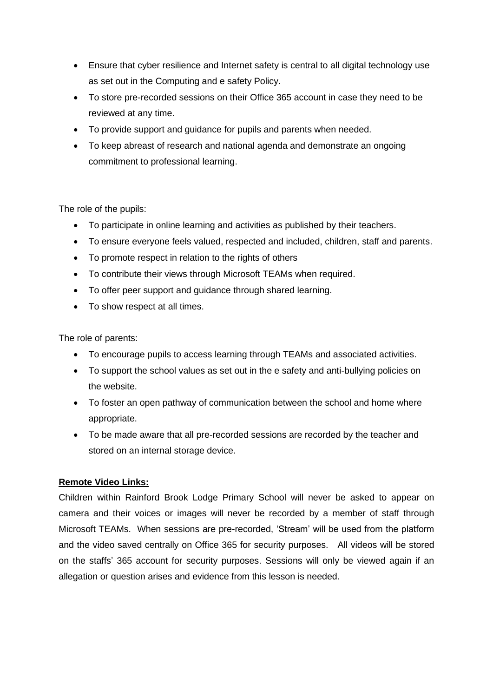- Ensure that cyber resilience and Internet safety is central to all digital technology use as set out in the Computing and e safety Policy.
- To store pre-recorded sessions on their Office 365 account in case they need to be reviewed at any time.
- To provide support and guidance for pupils and parents when needed.
- To keep abreast of research and national agenda and demonstrate an ongoing commitment to professional learning.

The role of the pupils:

- To participate in online learning and activities as published by their teachers.
- To ensure everyone feels valued, respected and included, children, staff and parents.
- To promote respect in relation to the rights of others
- To contribute their views through Microsoft TEAMs when required.
- To offer peer support and guidance through shared learning.
- To show respect at all times.

The role of parents:

- To encourage pupils to access learning through TEAMs and associated activities.
- To support the school values as set out in the e safety and anti-bullying policies on the website.
- To foster an open pathway of communication between the school and home where appropriate.
- To be made aware that all pre-recorded sessions are recorded by the teacher and stored on an internal storage device.

## **Remote Video Links:**

Children within Rainford Brook Lodge Primary School will never be asked to appear on camera and their voices or images will never be recorded by a member of staff through Microsoft TEAMs. When sessions are pre-recorded, 'Stream' will be used from the platform and the video saved centrally on Office 365 for security purposes. All videos will be stored on the staffs' 365 account for security purposes. Sessions will only be viewed again if an allegation or question arises and evidence from this lesson is needed.